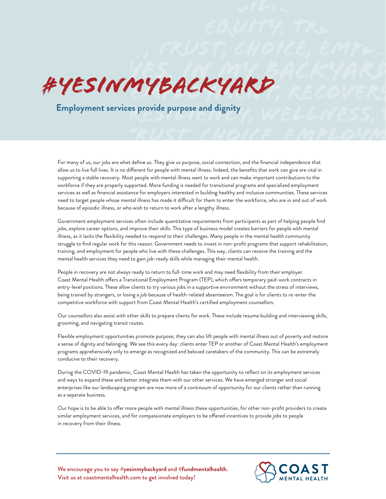

Employment services provide purpose and dignity<br>ELENESS, **Employment services provide purpose and dignity**

> For many of us, our jobs are what define us. They give us purpose, social connection, and the financial independence that allow us to live full lives. It is no different for people with mental illness. Indeed, the benefits that work can give are vital in supporting a stable recovery. Most people with mental illness want to work and can make important contributions to the workforce if they are properly supported. More funding is needed for transitional programs and specialized employment services as well as financial assistance for employers interested in building healthy and inclusive communities. These services need to target people whose mental illness has made it difficult for them to enter the workforce, who are in and out of work because of episodic illness, or who wish to return to work after a lengthy illness.

> Government employment services often include quantitative requirements from participants as part of helping people find jobs, explore career options, and improve their skills. This type of business model creates barriers for people with mental illness, as it lacks the flexibility needed to respond to their challenges. Many people in the mental health community struggle to find regular work for this reason. Government needs to invest in non-profit programs that support rehabilitation, training, and employment for people who live with these challenges. This way, clients can receive the training and the mental health services they need to gain job-ready skills while managing their mental health.

People in recovery are not always ready to return to full-time work and may need flexibility from their employer. Coast Mental Health offers a Transitional Employment Program (TEP), which offers temporary paid-work contracts in entry-level positions. These allow clients to try various jobs in a supportive environment without the stress of interviews, being trained by strangers, or losing a job because of health-related absenteeism. The goal is for clients to re-enter the competitive workforce with support from Coast Mental Health's certified employment counsellors.

Our counsellors also assist with other skills to prepare clients for work. These include resume building and interviewing skills, grooming, and navigating transit routes.

Flexible employment opportunities promote purpose; they can also lift people with mental illness out of poverty and restore a sense of dignity and belonging. We see this every day: clients enter TEP or another of Coast Mental Health's employment programs apprehensively only to emerge as recognized and beloved caretakers of the community. This can be extremely conducive to their recovery.

During the COVID-19 pandemic, Coast Mental Health has taken the opportunity to reflect on its employment services and ways to expand these and better integrate them with our other services. We have emerged stronger and social enterprises like our landscaping program are now more of a continuum of opportunity for our clients rather than running as a separate business.

Our hope is to be able to offer more people with mental illness these opportunities, for other non-profit providers to create similar employment services, and for compassionate employers to be offered incentives to provide jobs to people in recovery from their illness.

We encourage you to say **#yesinmybackyard** and **#fundmentalhealth**. Visit us at coastmentalhealth.com to get involved today!



TRUST, CHOICE, EMPLOYM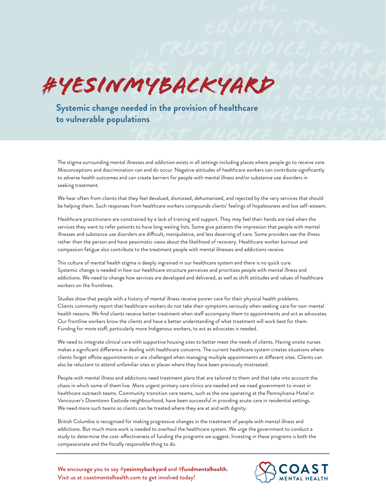

TRUST, CHOICE, EMPLOYM EQUITY, TRUST, CHOICE, EMPLOYMENT, RECOVERY, RECOVERY, RECOVERY, RECOVERY, RECOVERY, RECOVERY, RECOVERY, RECOVERY, RECOVERY, RECOVERY, RECOVERY, RECOVERY, RECOVERY, RECOVERY, RECOVERY, RECOVERY, RECOVERY, RECOVERY, RECOVER **to vulnerable populations**

> The stigma surrounding mental illnesses and addiction exists in all settings including places where people go to receive care. Misconceptions and discrimination can and do occur. Negative attitudes of healthcare workers can contribute significantly to adverse health outcomes and can create barriers for people with mental illness and/or substance use disorders in seeking treatment.

> We hear often from clients that they feel devalued, dismissed, dehumanized, and rejected by the very services that should be helping them. Such responses from healthcare workers compounds clients' feelings of hopelessness and low self-esteem.

Healthcare practitioners are constrained by a lack of training and support. They may feel their hands are tied when the services they want to refer patients to have long waiting lists. Some give patients the impression that people with mental illnesses and substance use disorders are difficult, manipulative, and less deserving of care. Some providers see the illness rather than the person and have pessimistic views about the likelihood of recovery. Healthcare worker burnout and compassion fatigue also contribute to the treatment people with mental illnesses and addictions receive.

This culture of mental health stigma is deeply ingrained in our healthcare system and there is no quick cure. Systemic change is needed in how our healthcare structure perceives and prioritizes people with mental illness and addictions. We need to change how services are developed and delivered, as well as shift attitudes and values of healthcare workers on the frontlines.

Studies show that people with a history of mental illness receive poorer care for their physical health problems. Clients commonly report that healthcare workers do not take their symptoms seriously when seeking care for non-mental health reasons. We find clients receive better treatment when staff accompany them to appointments and act as advocates. Our frontline workers know the clients and have a better understanding of what treatment will work best for them. Funding for more staff, particularly more Indigenous workers, to act as advocates is needed.

We need to integrate clinical care with supportive housing sites to better meet the needs of clients. Having onsite nurses makes a significant difference in dealing with healthcare concerns. The current healthcare system creates situations where clients forget offsite appointments or are challenged when managing multiple appointments at different sites. Clients can also be reluctant to attend unfamiliar sites or places where they have been previously mistreated.

People with mental illness and addictions need treatment plans that are tailored to them and that take into account the chaos in which some of them live. More urgent primary care clinics are needed and we need government to invest in healthcare outreach teams. Community transition care teams, such as the one operating at the Pennsylvania Hotel in Vancouver's Downtown Eastside neighbourhood, have been successful in providing acute care in residential settings. We need more such teams so clients can be treated where they are at and with dignity.

British Columbia is recognized for making progressive changes in the treatment of people with mental illness and addictions. But much more work is needed to overhaul the healthcare system. We urge the government to conduct a study to determine the cost-effectiveness of funding the programs we suggest. Investing in these programs is both the compassionate and the fiscally responsible thing to do.

We encourage you to say **#yesinmybackyard** and **#fundmentalhealth**. Visit us at coastmentalhealth.com to get involved today!

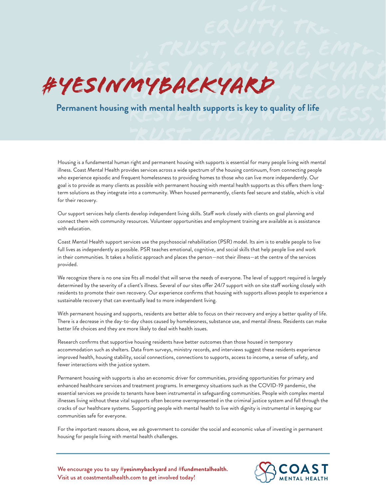## **EXPESINMYBACKYARD**, RECOVERY YES, IN MY BACKYARD #YesInMyBackyard

## **EXTERN FRUST, Permanent housing with mental health supports is key to quality of life and set of the set of the set of the set of the set of the set of the set of the set of the set of the set of the set of the set of the**

Housing is a fundamental human right and permanent housing with supports is essential for many people living with mental illness. Coast Mental Health provides services across a wide spectrum of the housing continuum, from connecting people who experience episodic and frequent homelessness to providing homes to those who can live more independently. Our goal is to provide as many clients as possible with permanent housing with mental health supports as this offers them longterm solutions as they integrate into a community. When housed permanently, clients feel secure and stable, which is vital for their recovery.

Our support services help clients develop independent living skills. Staff work closely with clients on goal planning and connect them with community resources. Volunteer opportunities and employment training are available as is assistance with education.

Coast Mental Health support services use the psychosocial rehabilitation (PSR) model. Its aim is to enable people to live full lives as independently as possible. PSR teaches emotional, cognitive, and social skills that help people live and work in their communities. It takes a holistic approach and places the person—not their illness—at the centre of the services provided.

We recognize there is no one size fits all model that will serve the needs of everyone. The level of support required is largely determined by the severity of a client's illness. Several of our sites offer 24/7 support with on site staff working closely with residents to promote their own recovery. Our experience confirms that housing with supports allows people to experience a sustainable recovery that can eventually lead to more independent living.

With permanent housing and supports, residents are better able to focus on their recovery and enjoy a better quality of life. There is a decrease in the day-to-day chaos caused by homelessness, substance use, and mental illness. Residents can make better life choices and they are more likely to deal with health issues.

Research confirms that supportive housing residents have better outcomes than those housed in temporary accommodation such as shelters. Data from surveys, ministry records, and interviews suggest these residents experience improved health, housing stability, social connections, connections to supports, access to income, a sense of safety, and fewer interactions with the justice system.

Permanent housing with supports is also an economic driver for communities, providing opportunities for primary and enhanced healthcare services and treatment programs. In emergency situations such as the COVID-19 pandemic, the essential services we provide to tenants have been instrumental in safeguarding communities. People with complex mental illnesses living without these vital supports often become overrepresented in the criminal justice system and fall through the cracks of our healthcare systems. Supporting people with mental health to live with dignity is instrumental in keeping our communities safe for everyone.

For the important reasons above, we ask government to consider the social and economic value of investing in permanent housing for people living with mental health challenges.

We encourage you to say **#yesinmybackyard** and **#fundmentalhealth**. Visit us at coastmentalhealth.com to get involved today!



TRUST, CHOICE, EMPLOYM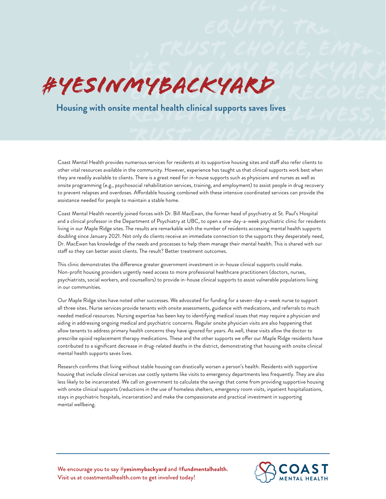

## **EQUITY, TRUST, CHOICE, AND TRUST, RECOVERY, RECOVERY, RECOVERY, RECOVERY, RECOVERY, RECOVERY, RECOVERY, RECOVERY, RECOVERY, RECOVERY, RECOVERY, RECOVERY, RECOVERY, RECOVERY, RECOVERY, RECOVERY, RECOVERY, RECOVERY, RECOVER**

Coast Mental Health provides numerous services for residents at its supportive housing sites and staff also refer clients to other vital resources available in the community. However, experience has taught us that clinical supports work best when they are readily available to clients. There is a great need for in-house supports such as physicians and nurses as well as onsite programming (e.g., psychosocial rehabilitation services, training, and employment) to assist people in drug recovery to prevent relapses and overdoses. Affordable housing combined with these intensive coordinated services can provide the assistance needed for people to maintain a stable home.

Coast Mental Health recently joined forces with Dr. Bill MacEwan, the former head of psychiatry at St. Paul's Hospital and a clinical professor in the Department of Psychiatry at UBC, to open a one-day-a-week psychiatric clinic for residents living in our Maple Ridge sites. The results are remarkable with the number of residents accessing mental health supports doubling since January 2021. Not only do clients receive an immediate connection to the supports they desperately need, Dr. MacEwan has knowledge of the needs and processes to help them manage their mental health. This is shared with our staff so they can better assist clients. The result? Better treatment outcomes.

This clinic demonstrates the difference greater government investment in in-house clinical supports could make. Non-profit housing providers urgently need access to more professional healthcare practitioners (doctors, nurses, psychiatrists, social workers, and counsellors) to provide in-house clinical supports to assist vulnerable populations living in our communities.

Our Maple Ridge sites have noted other successes. We advocated for funding for a seven-day-a-week nurse to support all three sites. Nurse services provide tenants with onsite assessments, guidance with medications, and referrals to much needed medical resources. Nursing expertise has been key to identifying medical issues that may require a physician and aiding in addressing ongoing medical and psychiatric concerns. Regular onsite physician visits are also happening that allow tenants to address primary health concerns they have ignored for years. As well, these visits allow the doctor to prescribe opioid replacement therapy medications. These and the other supports we offer our Maple Ridge residents have contributed to a significant decrease in drug-related deaths in the district, demonstrating that housing with onsite clinical mental health supports saves lives.

Research confirms that living without stable housing can drastically worsen a person's health. Residents with supportive housing that include clinical services use costly systems like visits to emergency departments less frequently. They are also less likely to be incarcerated. We call on government to calculate the savings that come from providing supportive housing with onsite clinical supports (reductions in the use of homeless shelters, emergency room visits, inpatient hospitalizations, stays in psychiatric hospitals, incarceration) and make the compassionate and practical investment in supporting mental wellbeing.

We encourage you to say **#yesinmybackyard** and **#fundmentalhealth**. Visit us at coastmentalhealth.com to get involved today!



TRUST, CHOICE, EMPLOYM